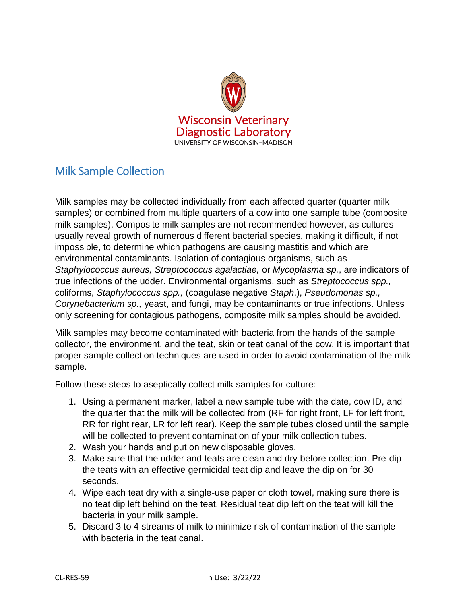

## Milk Sample Collection

Milk samples may be collected individually from each affected quarter (quarter milk samples) or combined from multiple quarters of a cow into one sample tube (composite milk samples). Composite milk samples are not recommended however, as cultures usually reveal growth of numerous different bacterial species, making it difficult, if not impossible, to determine which pathogens are causing mastitis and which are environmental contaminants. Isolation of contagious organisms, such as *Staphylococcus aureus, Streptococcus agalactiae,* or *Mycoplasma sp.*, are indicators of true infections of the udder. Environmental organisms, such as *Streptococcus spp.,*  coliforms, *Staphylococcus spp.,* (coagulase negative *Staph*.), *Pseudomonas sp., Corynebacterium sp.,* yeast, and fungi, may be contaminants or true infections. Unless only screening for contagious pathogens, composite milk samples should be avoided.

Milk samples may become contaminated with bacteria from the hands of the sample collector, the environment, and the teat, skin or teat canal of the cow. It is important that proper sample collection techniques are used in order to avoid contamination of the milk sample.

Follow these steps to aseptically collect milk samples for culture:

- 1. Using a permanent marker, label a new sample tube with the date, cow ID, and the quarter that the milk will be collected from (RF for right front, LF for left front, RR for right rear, LR for left rear). Keep the sample tubes closed until the sample will be collected to prevent contamination of your milk collection tubes.
- 2. Wash your hands and put on new disposable gloves.
- 3. Make sure that the udder and teats are clean and dry before collection. Pre-dip the teats with an effective germicidal teat dip and leave the dip on for 30 seconds.
- 4. Wipe each teat dry with a single-use paper or cloth towel, making sure there is no teat dip left behind on the teat. Residual teat dip left on the teat will kill the bacteria in your milk sample.
- 5. Discard 3 to 4 streams of milk to minimize risk of contamination of the sample with bacteria in the teat canal.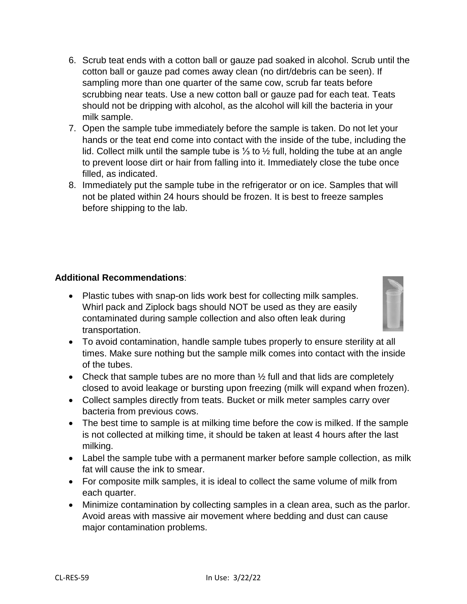- 6. Scrub teat ends with a cotton ball or gauze pad soaked in alcohol. Scrub until the cotton ball or gauze pad comes away clean (no dirt/debris can be seen). If sampling more than one quarter of the same cow, scrub far teats before scrubbing near teats. Use a new cotton ball or gauze pad for each teat. Teats should not be dripping with alcohol, as the alcohol will kill the bacteria in your milk sample.
- 7. Open the sample tube immediately before the sample is taken. Do not let your hands or the teat end come into contact with the inside of the tube, including the lid. Collect milk until the sample tube is ⅓ to ½ full, holding the tube at an angle to prevent loose dirt or hair from falling into it. Immediately close the tube once filled, as indicated.
- 8. Immediately put the sample tube in the refrigerator or on ice. Samples that will not be plated within 24 hours should be frozen. It is best to freeze samples before shipping to the lab.

## **Additional Recommendations**:

 Plastic tubes with snap-on lids work best for collecting milk samples. Whirl pack and Ziplock bags should NOT be used as they are easily contaminated during sample collection and also often leak during transportation.



- To avoid contamination, handle sample tubes properly to ensure sterility at all times. Make sure nothing but the sample milk comes into contact with the inside of the tubes.
- Check that sample tubes are no more than  $\frac{1}{2}$  full and that lids are completely closed to avoid leakage or bursting upon freezing (milk will expand when frozen).
- Collect samples directly from teats. Bucket or milk meter samples carry over bacteria from previous cows.
- The best time to sample is at milking time before the cow is milked. If the sample is not collected at milking time, it should be taken at least 4 hours after the last milking.
- Label the sample tube with a permanent marker before sample collection, as milk fat will cause the ink to smear.
- For composite milk samples, it is ideal to collect the same volume of milk from each quarter.
- Minimize contamination by collecting samples in a clean area, such as the parlor. Avoid areas with massive air movement where bedding and dust can cause major contamination problems.